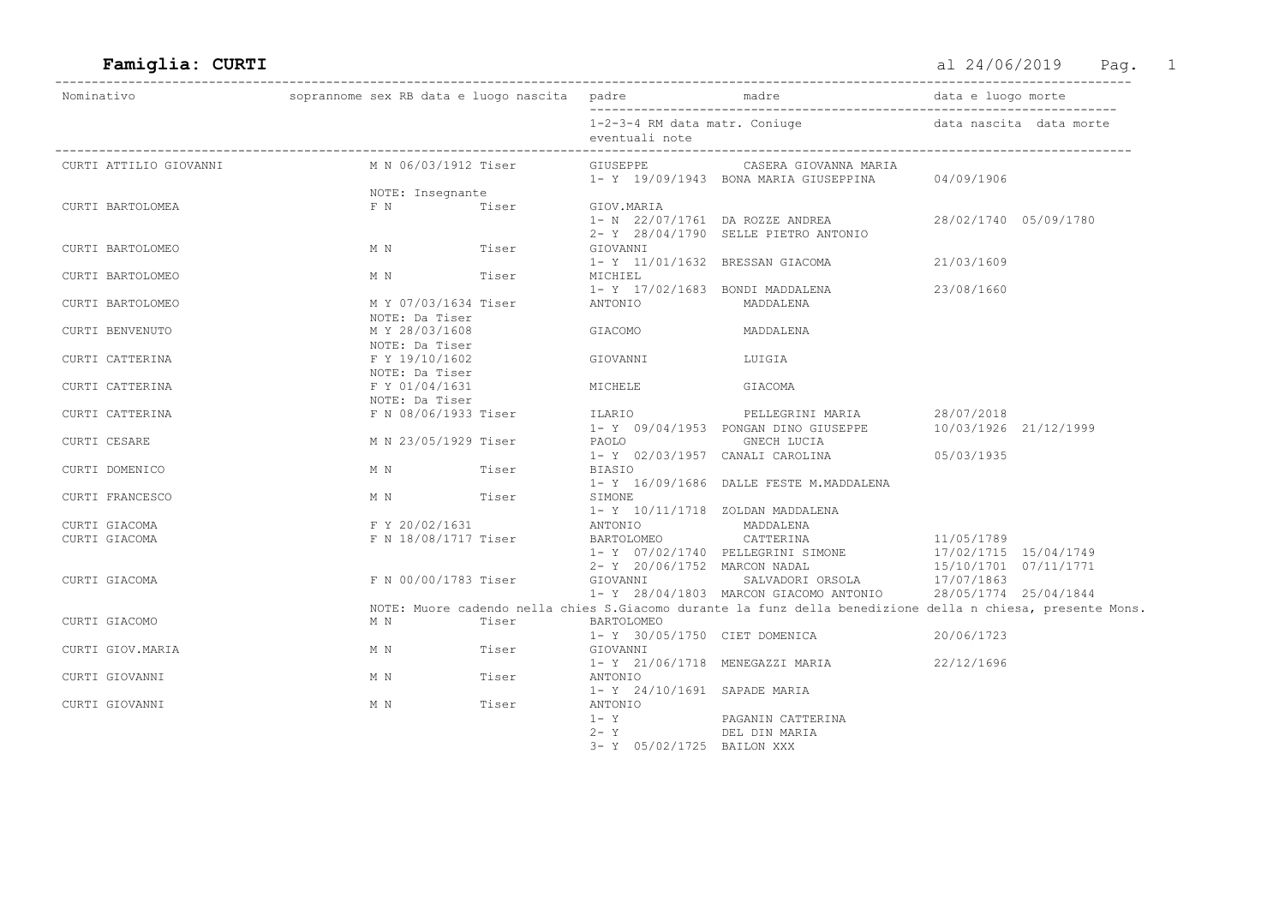| Nominativo             |                                        |       |                                                 |                                                                                                             |                                                              |                         |
|------------------------|----------------------------------------|-------|-------------------------------------------------|-------------------------------------------------------------------------------------------------------------|--------------------------------------------------------------|-------------------------|
|                        |                                        |       | 1-2-3-4 RM data matr. Coniuge<br>eventuali note |                                                                                                             |                                                              | data nascita data morte |
| CURTI ATTILIO GIOVANNI | M N 06/03/1912 Tiser                   |       |                                                 | GIUSEPPE CASERA GIOVANNA MARIA<br>1- Y 19/09/1943 BONA MARIA GIUSEPPINA                                     | 04/09/1906                                                   |                         |
|                        | NOTE: Insegnante                       |       |                                                 |                                                                                                             |                                                              |                         |
| CURTI BARTOLOMEA       | F N Tiser                              |       | GIOV.MARIA                                      | 1- N 22/07/1761 DA ROZZE ANDREA<br>2- Y 28/04/1790 SELLE PIETRO ANTONIO                                     | 28/02/1740 05/09/1780                                        |                         |
| CURTI BARTOLOMEO       | M N Tiser                              |       | GIOVANNI                                        | 1- Y 11/01/1632 BRESSAN GIACOMA                                                                             | 21/03/1609                                                   |                         |
| CURTI BARTOLOMEO       | M N Tiser                              |       | MICHIEL                                         | 1- Y 17/02/1683 BONDI MADDALENA                                                                             | 23/08/1660                                                   |                         |
| CURTI BARTOLOMEO       | M Y 07/03/1634 Tiser<br>NOTE: Da Tiser |       | ANTONIO                                         | MADDALENA                                                                                                   |                                                              |                         |
| CURTI BENVENUTO        | M Y 28/03/1608<br>NOTE: Da Tiser       |       | GIACOMO                                         | MADDALENA                                                                                                   |                                                              |                         |
| CURTI CATTERINA        | F Y 19/10/1602<br>NOTE: Da Tiser       |       | GIOVANNI                                        | LUIGIA                                                                                                      |                                                              |                         |
| CURTI CATTERINA        | F Y 01/04/1631<br>NOTE: Da Tiser       |       | MICHELE                                         | GIACOMA                                                                                                     |                                                              |                         |
| CURTI CATTERINA        | F N 08/06/1933 Tiser                   |       | ILARIO                                          | PELLEGRINI MARIA<br>1- Y 09/04/1953 PONGAN DINO GIUSEPPE                                                    | 28/07/2018<br>10/03/1926 21/12/1999                          |                         |
| CURTI CESARE           | M N 23/05/1929 Tiser                   |       | PAOLO GNECH LUCIA                               | 1- Y 02/03/1957 CANALI CAROLINA                                                                             | 05/03/1935                                                   |                         |
| CURTI DOMENICO         | M N Tiser                              |       | BIASIO                                          | 1- Y 16/09/1686 DALLE FESTE M.MADDALENA                                                                     |                                                              |                         |
| CURTI FRANCESCO        | M N Tiser                              |       | SIMONE<br>1- Y 10/11/1718 ZOLDAN MADDALENA      |                                                                                                             |                                                              |                         |
| CURTI GIACOMA          | F Y 20/02/1631                         |       | ANTONIO MADDALENA                               |                                                                                                             |                                                              |                         |
| CURTI GIACOMA          | F N 18/08/1717 Tiser                   |       | BARTOLOMEO                                      | CATTERINA<br>1- Y 07/02/1740 PELLEGRINI SIMONE                                                              | 11/05/1789<br>17/02/1715 15/04/1749                          |                         |
| CURTI GIACOMA          | F N 00/00/1783 Tiser                   |       |                                                 | 2- Y 20/06/1752 MARCON NADAL<br>1- Y 28/04/1803 MARCON GIACOMO ANTONIO                                      | 15/10/1701 07/11/1771<br>17/07/1863<br>28/05/1774 25/04/1844 |                         |
|                        |                                        |       |                                                 | NOTE: Muore cadendo nella chies S. Giacomo durante la funz della benedizione della n chiesa, presente Mons. |                                                              |                         |
| CURTI GIACOMO          | M N<br><b>Tiser</b>                    |       | BARTOLOMEO                                      | 1- Y 30/05/1750 CIET DOMENICA                                                                               | 20/06/1723                                                   |                         |
| CURTI GIOV. MARIA      | M N Tiser                              |       | GIOVANNI                                        | 1- Y 21/06/1718 MENEGAZZI MARIA                                                                             | 22/12/1696                                                   |                         |
| CURTI GIOVANNI         | M N                                    | Tiser | ANTONIO<br>1- Y 24/10/1691 SAPADE MARIA         |                                                                                                             |                                                              |                         |
| CURTI GIOVANNI         | M N                                    | Tiser | ANTONIO<br>$1 - Y$<br>$2 - Y$                   | PAGANIN CATTERINA<br>DEL DIN MARIA                                                                          |                                                              |                         |
|                        |                                        |       | 3- Y 05/02/1725 BAILON XXX                      |                                                                                                             |                                                              |                         |